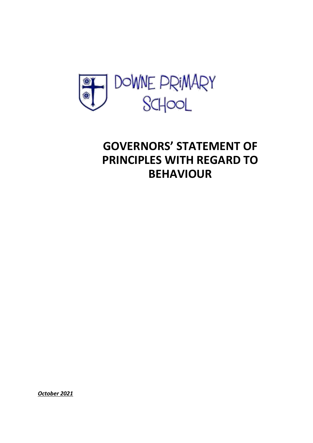

## **GOVERNORS' STATEMENT OF PRINCIPLES WITH REGARD TO BEHAVIOUR**

*October 2021*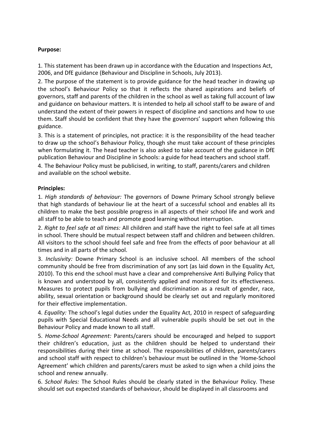## **Purpose:**

1. This statement has been drawn up in accordance with the Education and Inspections Act, 2006, and DfE guidance (Behaviour and Discipline in Schools, July 2013).

2. The purpose of the statement is to provide guidance for the head teacher in drawing up the school's Behaviour Policy so that it reflects the shared aspirations and beliefs of governors, staff and parents of the children in the school as well as taking full account of law and guidance on behaviour matters. It is intended to help all school staff to be aware of and understand the extent of their powers in respect of discipline and sanctions and how to use them. Staff should be confident that they have the governors' support when following this guidance.

3. This is a statement of principles, not practice: it is the responsibility of the head teacher to draw up the school's Behaviour Policy, though she must take account of these principles when formulating it. The head teacher is also asked to take account of the guidance in DfE publication Behaviour and Discipline in Schools: a guide for head teachers and school staff.

4. The Behaviour Policy must be publicised, in writing, to staff, parents/carers and children and available on the school website.

## **Principles:**

1. *High standards of behaviour:* The governors of Downe Primary School strongly believe that high standards of behaviour lie at the heart of a successful school and enables all its children to make the best possible progress in all aspects of their school life and work and all staff to be able to teach and promote good learning without interruption.

2. *Right to feel safe at all times:* All children and staff have the right to feel safe at all times in school. There should be mutual respect between staff and children and between children. All visitors to the school should feel safe and free from the effects of poor behaviour at all times and in all parts of the school.

3. *Inclusivity:* Downe Primary School is an inclusive school. All members of the school community should be free from discrimination of any sort (as laid down in the Equality Act, 2010). To this end the school must have a clear and comprehensive Anti Bullying Policy that is known and understood by all, consistently applied and monitored for its effectiveness. Measures to protect pupils from bullying and discrimination as a result of gender, race, ability, sexual orientation or background should be clearly set out and regularly monitored for their effective implementation.

4. *Equality:* The school's legal duties under the Equality Act, 2010 in respect of safeguarding pupils with Special Educational Needs and all vulnerable pupils should be set out in the Behaviour Policy and made known to all staff.

5. *Home-School Agreement:* Parents/carers should be encouraged and helped to support their children's education, just as the children should be helped to understand their responsibilities during their time at school. The responsibilities of children, parents/carers and school staff with respect to children's behaviour must be outlined in the 'Home-School Agreement' which children and parents/carers must be asked to sign when a child joins the school and renew annually.

6. *School Rules:* The School Rules should be clearly stated in the Behaviour Policy. These should set out expected standards of behaviour, should be displayed in all classrooms and